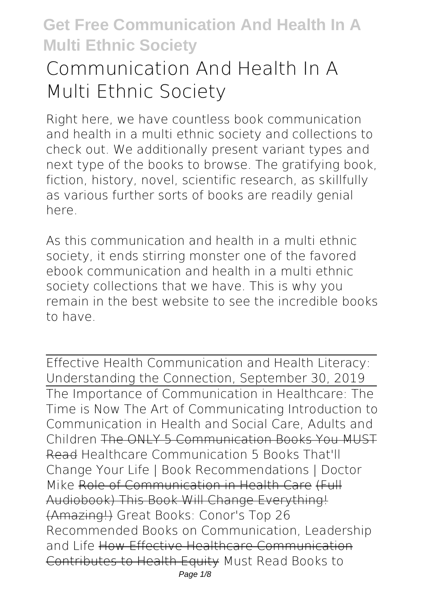# **Communication And Health In A Multi Ethnic Society**

Right here, we have countless book **communication and health in a multi ethnic society** and collections to check out. We additionally present variant types and next type of the books to browse. The gratifying book, fiction, history, novel, scientific research, as skillfully as various further sorts of books are readily genial here.

As this communication and health in a multi ethnic society, it ends stirring monster one of the favored ebook communication and health in a multi ethnic society collections that we have. This is why you remain in the best website to see the incredible books to have.

Effective Health Communication and Health Literacy: Understanding the Connection, September 30, 2019 The Importance of Communication in Healthcare: The Time is Now The Art of Communicating **Introduction to Communication in Health and Social Care, Adults and Children** The ONLY 5 Communication Books You MUST Read **Healthcare Communication 5 Books That'll Change Your Life | Book Recommendations | Doctor Mike** Role of Communication in Health Care (Full Audiobook) This Book Will Change Everything! (Amazing!) **Great Books: Conor's Top 26 Recommended Books on Communication, Leadership and Life** How Effective Healthcare Communication Contributes to Health Equity **Must Read Books to** Page  $1/8$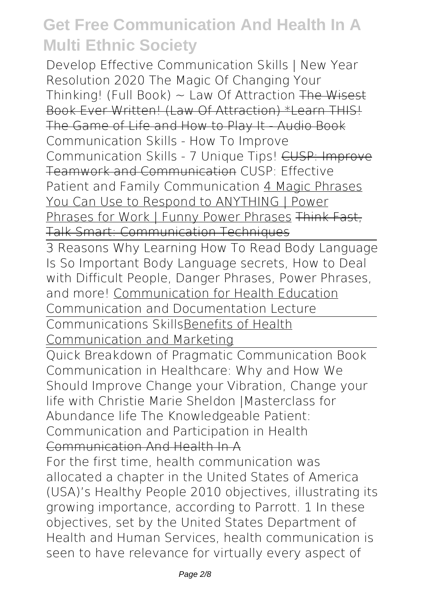**Develop Effective Communication Skills | New Year Resolution 2020** The Magic Of Changing Your Thinking! (Full Book)  $\sim$  Law Of Attraction The Wisest Book Ever Written! (Law Of Attraction) \*Learn THIS! The Game of Life and How to Play It - Audio Book *Communication Skills - How To Improve Communication Skills - 7 Unique Tips!* CUSP: Improve Teamwork and Communication *CUSP: Effective Patient and Family Communication* 4 Magic Phrases You Can Use to Respond to ANYTHING | Power Phrases for Work | Funny Power Phrases Think Fast, Talk Smart: Communication Techniques

3 Reasons Why Learning How To Read Body Language Is So Important Body Language secrets, How to Deal with Difficult People, Danger Phrases, Power Phrases, and more! Communication for Health Education **Communication and Documentation Lecture**

Communications SkillsBenefits of Health Communication and Marketing

Quick Breakdown of Pragmatic Communication Book *Communication in Healthcare: Why and How We Should Improve Change your Vibration, Change your life with Christie Marie Sheldon |Masterclass for Abundance life The Knowledgeable Patient: Communication and Participation in Health* Communication And Health In A

For the first time, health communication was allocated a chapter in the United States of America (USA)'s Healthy People 2010 objectives, illustrating its growing importance, according to Parrott. 1 In these objectives, set by the United States Department of Health and Human Services, health communication is seen to have relevance for virtually every aspect of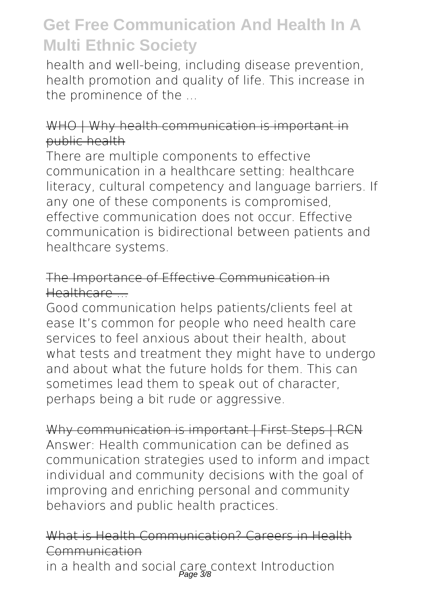health and well-being, including disease prevention, health promotion and quality of life. This increase in the prominence of the ...

### WHO | Why health communication is important in public health

There are multiple components to effective communication in a healthcare setting: healthcare literacy, cultural competency and language barriers. If any one of these components is compromised, effective communication does not occur. Effective communication is bidirectional between patients and healthcare systems.

### The Importance of Effective Communication in Healthcare ...

Good communication helps patients/clients feel at ease It's common for people who need health care services to feel anxious about their health, about what tests and treatment they might have to undergo and about what the future holds for them. This can sometimes lead them to speak out of character, perhaps being a bit rude or aggressive.

Why communication is important | First Steps | RCN Answer: Health communication can be defined as communication strategies used to inform and impact individual and community decisions with the goal of improving and enriching personal and community behaviors and public health practices.

### What is Health Communication? Careers in Health Communication

in a health and social care context Introduction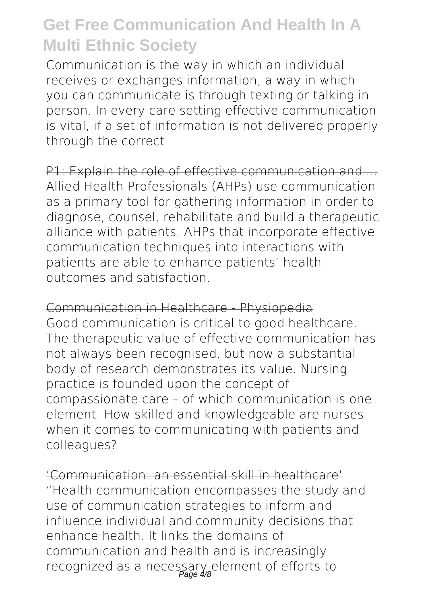Communication is the way in which an individual receives or exchanges information, a way in which you can communicate is through texting or talking in person. In every care setting effective communication is vital, if a set of information is not delivered properly through the correct

P1: Explain the role of effective communication and Allied Health Professionals (AHPs) use communication as a primary tool for gathering information in order to diagnose, counsel, rehabilitate and build a therapeutic alliance with patients. AHPs that incorporate effective communication techniques into interactions with patients are able to enhance patients' health outcomes and satisfaction.

Communication in Healthcare - Physiopedia Good communication is critical to good healthcare. The therapeutic value of effective communication has not always been recognised, but now a substantial body of research demonstrates its value. Nursing practice is founded upon the concept of compassionate care – of which communication is one element. How skilled and knowledgeable are nurses when it comes to communicating with patients and colleagues?

'Communication: an essential skill in healthcare' "Health communication encompasses the study and use of communication strategies to inform and influence individual and community decisions that enhance health. It links the domains of communication and health and is increasingly recognized as a necessary element of efforts to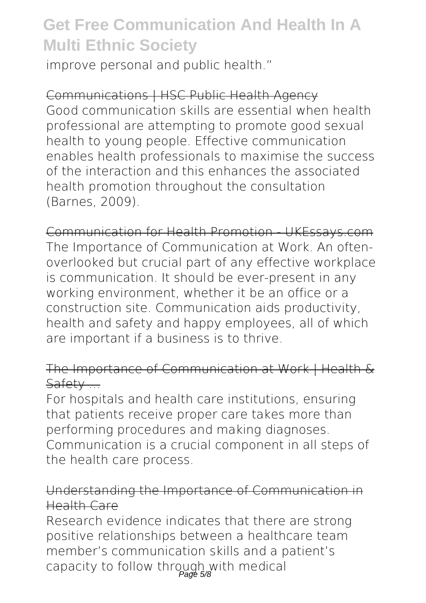improve personal and public health."

### Communications | HSC Public Health Agency

Good communication skills are essential when health professional are attempting to promote good sexual health to young people. Effective communication enables health professionals to maximise the success of the interaction and this enhances the associated health promotion throughout the consultation (Barnes, 2009).

### Communication for Health Promotion - UKEssays.com The Importance of Communication at Work. An oftenoverlooked but crucial part of any effective workplace is communication. It should be ever-present in any working environment, whether it be an office or a construction site. Communication aids productivity, health and safety and happy employees, all of which are important if a business is to thrive.

## The Importance of Communication at Work | Health & Safety ...

For hospitals and health care institutions, ensuring that patients receive proper care takes more than performing procedures and making diagnoses. Communication is a crucial component in all steps of the health care process.

### Understanding the Importance of Communication in Health Care

Research evidence indicates that there are strong positive relationships between a healthcare team member's communication skills and a patient's capacity to follow through with medical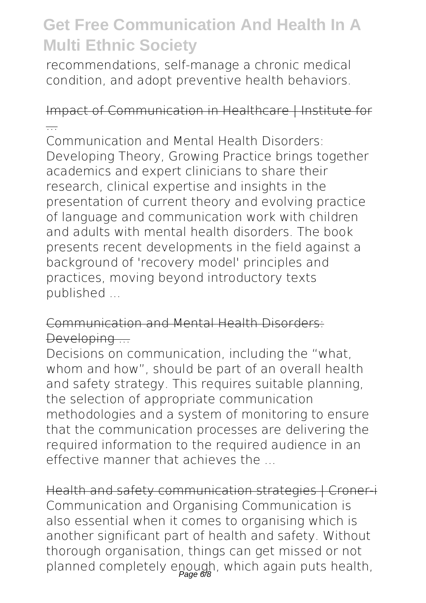recommendations, self-manage a chronic medical condition, and adopt preventive health behaviors.

## Impact of Communication in Healthcare | Institute for ...

Communication and Mental Health Disorders: Developing Theory, Growing Practice brings together academics and expert clinicians to share their research, clinical expertise and insights in the presentation of current theory and evolving practice of language and communication work with children and adults with mental health disorders. The book presents recent developments in the field against a background of 'recovery model' principles and practices, moving beyond introductory texts published ...

## Communication and Mental Health Disorders: Developing -

Decisions on communication, including the "what, whom and how", should be part of an overall health and safety strategy. This requires suitable planning, the selection of appropriate communication methodologies and a system of monitoring to ensure that the communication processes are delivering the required information to the required audience in an effective manner that achieves the ...

Health and safety communication strategies | Croner-i Communication and Organising Communication is also essential when it comes to organising which is another significant part of health and safety. Without thorough organisation, things can get missed or not planned completely enough, which again puts health,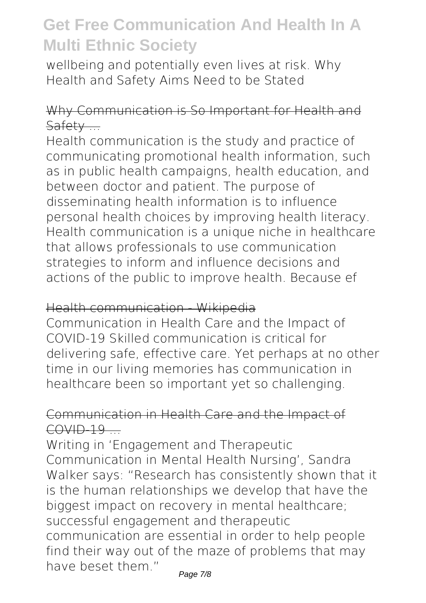wellbeing and potentially even lives at risk. Why Health and Safety Aims Need to be Stated

### Why Communication is So Important for Health and Safety ...

Health communication is the study and practice of communicating promotional health information, such as in public health campaigns, health education, and between doctor and patient. The purpose of disseminating health information is to influence personal health choices by improving health literacy. Health communication is a unique niche in healthcare that allows professionals to use communication strategies to inform and influence decisions and actions of the public to improve health. Because ef

#### Health communication Wikipedia

Communication in Health Care and the Impact of COVID-19 Skilled communication is critical for delivering safe, effective care. Yet perhaps at no other time in our living memories has communication in healthcare been so important yet so challenging.

### Communication in Health Care and the Impact of  $COVID-19$   $-$

Writing in 'Engagement and Therapeutic Communication in Mental Health Nursing', Sandra Walker says: "Research has consistently shown that it is the human relationships we develop that have the biggest impact on recovery in mental healthcare; successful engagement and therapeutic communication are essential in order to help people find their way out of the maze of problems that may have beset them."